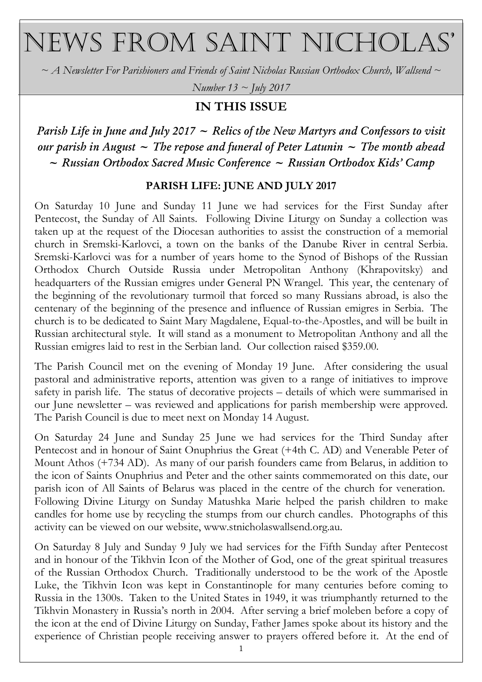# NEWS FROM SAINT NICHOLAS'

 $\sim$  A Newsletter For Parishioners and Friends of Saint Nicholas Russian Orthodox Church, Wallsend  $\sim$ 

Number  $13 \sim$  July 2017

# IN THIS ISSUE

Parish Life in June and July 2017  $\sim$  Relics of the New Martyrs and Confessors to visit our parish in August  $\sim$  The repose and funeral of Peter Latunin  $\sim$  The month ahead  $\sim$  Russian Orthodox Sacred Music Conference  $\sim$  Russian Orthodox Kids' Camp

## PARISH LIFE: JUNE AND JULY 2017

On Saturday 10 June and Sunday 11 June we had services for the First Sunday after Pentecost, the Sunday of All Saints. Following Divine Liturgy on Sunday a collection was taken up at the request of the Diocesan authorities to assist the construction of a memorial church in Sremski-Karlovci, a town on the banks of the Danube River in central Serbia. Sremski-Karlovci was for a number of years home to the Synod of Bishops of the Russian Orthodox Church Outside Russia under Metropolitan Anthony (Khrapovitsky) and headquarters of the Russian emigres under General PN Wrangel. This year, the centenary of the beginning of the revolutionary turmoil that forced so many Russians abroad, is also the centenary of the beginning of the presence and influence of Russian emigres in Serbia. The church is to be dedicated to Saint Mary Magdalene, Equal-to-the-Apostles, and will be built in Russian architectural style. It will stand as a monument to Metropolitan Anthony and all the Russian emigres laid to rest in the Serbian land. Our collection raised \$359.00.

The Parish Council met on the evening of Monday 19 June. After considering the usual pastoral and administrative reports, attention was given to a range of initiatives to improve safety in parish life. The status of decorative projects – details of which were summarised in our June newsletter – was reviewed and applications for parish membership were approved. The Parish Council is due to meet next on Monday 14 August.

On Saturday 24 June and Sunday 25 June we had services for the Third Sunday after Pentecost and in honour of Saint Onuphrius the Great (+4th C. AD) and Venerable Peter of Mount Athos (+734 AD). As many of our parish founders came from Belarus, in addition to the icon of Saints Onuphrius and Peter and the other saints commemorated on this date, our parish icon of All Saints of Belarus was placed in the centre of the church for veneration. Following Divine Liturgy on Sunday Matushka Marie helped the parish children to make candles for home use by recycling the stumps from our church candles. Photographs of this activity can be viewed on our website, www.stnicholaswallsend.org.au.

On Saturday 8 July and Sunday 9 July we had services for the Fifth Sunday after Pentecost and in honour of the Tikhvin Icon of the Mother of God, one of the great spiritual treasures of the Russian Orthodox Church. Traditionally understood to be the work of the Apostle Luke, the Tikhvin Icon was kept in Constantinople for many centuries before coming to Russia in the 1300s. Taken to the United States in 1949, it was triumphantly returned to the Tikhvin Monastery in Russia's north in 2004. After serving a brief moleben before a copy of the icon at the end of Divine Liturgy on Sunday, Father James spoke about its history and the experience of Christian people receiving answer to prayers offered before it. At the end of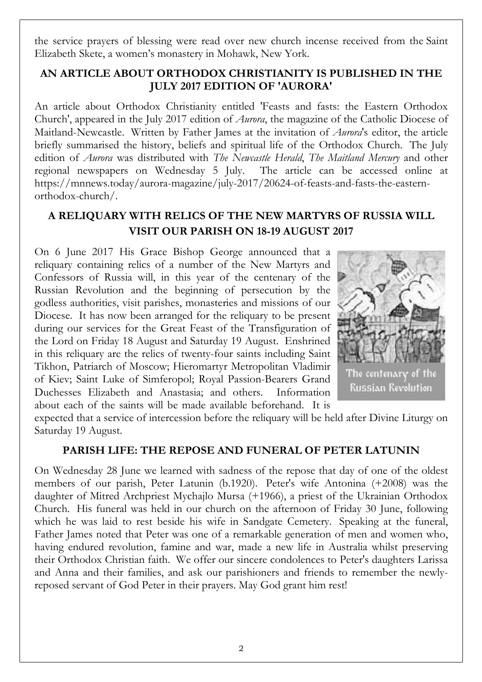the service prayers of blessing were read over new church incense received from the Saint Elizabeth Skete, a women's monastery in Mohawk, New York.

### AN ARTICLE ABOUT ORTHODOX CHRISTIANITY IS PUBLISHED IN THE JULY 2017 EDITION OF 'AURORA'

An article about Orthodox Christianity entitled 'Feasts and fasts: the Eastern Orthodox Church', appeared in the July 2017 edition of Aurora, the magazine of the Catholic Diocese of Maitland-Newcastle. Written by Father James at the invitation of *Aurora*'s editor, the article briefly summarised the history, beliefs and spiritual life of the Orthodox Church. The July edition of Aurora was distributed with The Newcastle Herald, The Maitland Mercury and other regional newspapers on Wednesday 5 July. The article can be accessed online at https://mnnews.today/aurora-magazine/july-2017/20624-of-feasts-and-fasts-the-easternorthodox-church/.

# A RELIQUARY WITH RELICS OF THE NEW MARTYRS OF RUSSIA WILL VISIT OUR PARISH ON 18-19 AUGUST 2017

On 6 June 2017 His Grace Bishop George announced that a reliquary containing relics of a number of the New Martyrs and Confessors of Russia will, in this year of the centenary of the Russian Revolution and the beginning of persecution by the godless authorities, visit parishes, monasteries and missions of our Diocese. It has now been arranged for the reliquary to be present during our services for the Great Feast of the Transfiguration of the Lord on Friday 18 August and Saturday 19 August. Enshrined in this reliquary are the relics of twenty-four saints including Saint Tikhon, Patriarch of Moscow; Hieromartyr Metropolitan Vladimir of Kiev; Saint Luke of Simferopol; Royal Passion-Bearers Grand Duchesses Elizabeth and Anastasia; and others. Information about each of the saints will be made available beforehand. It is



he centenary ot **Russian Revolution** 

expected that a service of intercession before the reliquary will be held after Divine Liturgy on Saturday 19 August.

### PARISH LIFE: THE REPOSE AND FUNERAL OF PETER LATUNIN

On Wednesday 28 June we learned with sadness of the repose that day of one of the oldest members of our parish, Peter Latunin (b.1920). Peter's wife Antonina (+2008) was the daughter of Mitred Archpriest Mychajlo Mursa (+1966), a priest of the Ukrainian Orthodox Church. His funeral was held in our church on the afternoon of Friday 30 June, following which he was laid to rest beside his wife in Sandgate Cemetery. Speaking at the funeral, Father James noted that Peter was one of a remarkable generation of men and women who, having endured revolution, famine and war, made a new life in Australia whilst preserving their Orthodox Christian faith. We offer our sincere condolences to Peter's daughters Larissa and Anna and their families, and ask our parishioners and friends to remember the newlyreposed servant of God Peter in their prayers. May God grant him rest!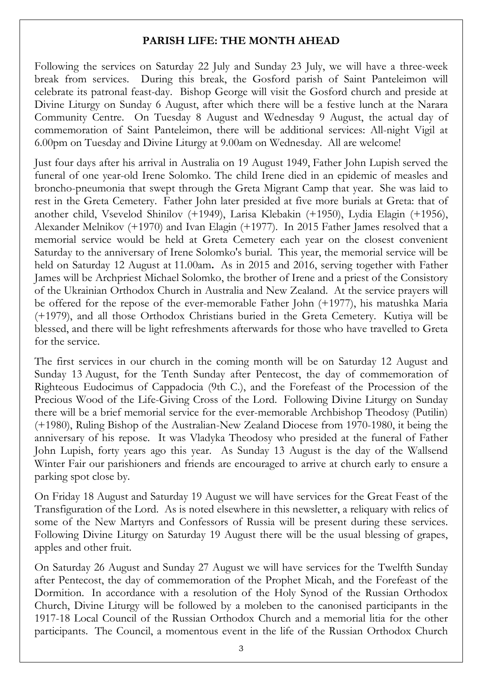#### PARISH LIFE: THE MONTH AHEAD

Following the services on Saturday 22 July and Sunday 23 July, we will have a three-week break from services. During this break, the Gosford parish of Saint Panteleimon will celebrate its patronal feast-day. Bishop George will visit the Gosford church and preside at Divine Liturgy on Sunday 6 August, after which there will be a festive lunch at the Narara Community Centre. On Tuesday 8 August and Wednesday 9 August, the actual day of commemoration of Saint Panteleimon, there will be additional services: All-night Vigil at 6.00pm on Tuesday and Divine Liturgy at 9.00am on Wednesday. All are welcome!

Just four days after his arrival in Australia on 19 August 1949, Father John Lupish served the funeral of one year-old Irene Solomko. The child Irene died in an epidemic of measles and broncho-pneumonia that swept through the Greta Migrant Camp that year. She was laid to rest in the Greta Cemetery. Father John later presided at five more burials at Greta: that of another child, Vsevelod Shinilov (+1949), Larisa Klebakin (+1950), Lydia Elagin (+1956), Alexander Melnikov (+1970) and Ivan Elagin (+1977). In 2015 Father James resolved that a memorial service would be held at Greta Cemetery each year on the closest convenient Saturday to the anniversary of Irene Solomko's burial. This year, the memorial service will be held on Saturday 12 August at 11.00am. As in 2015 and 2016, serving together with Father James will be Archpriest Michael Solomko, the brother of Irene and a priest of the Consistory of the Ukrainian Orthodox Church in Australia and New Zealand. At the service prayers will be offered for the repose of the ever-memorable Father John (+1977), his matushka Maria (+1979), and all those Orthodox Christians buried in the Greta Cemetery. Kutiya will be blessed, and there will be light refreshments afterwards for those who have travelled to Greta for the service.

The first services in our church in the coming month will be on Saturday 12 August and Sunday 13 August, for the Tenth Sunday after Pentecost, the day of commemoration of Righteous Eudocimus of Cappadocia (9th C.), and the Forefeast of the Procession of the Precious Wood of the Life-Giving Cross of the Lord. Following Divine Liturgy on Sunday there will be a brief memorial service for the ever-memorable Archbishop Theodosy (Putilin) (+1980), Ruling Bishop of the Australian-New Zealand Diocese from 1970-1980, it being the anniversary of his repose. It was Vladyka Theodosy who presided at the funeral of Father John Lupish, forty years ago this year. As Sunday 13 August is the day of the Wallsend Winter Fair our parishioners and friends are encouraged to arrive at church early to ensure a parking spot close by.

On Friday 18 August and Saturday 19 August we will have services for the Great Feast of the Transfiguration of the Lord. As is noted elsewhere in this newsletter, a reliquary with relics of some of the New Martyrs and Confessors of Russia will be present during these services. Following Divine Liturgy on Saturday 19 August there will be the usual blessing of grapes, apples and other fruit.

On Saturday 26 August and Sunday 27 August we will have services for the Twelfth Sunday after Pentecost, the day of commemoration of the Prophet Micah, and the Forefeast of the Dormition. In accordance with a resolution of the Holy Synod of the Russian Orthodox Church, Divine Liturgy will be followed by a moleben to the canonised participants in the 1917-18 Local Council of the Russian Orthodox Church and a memorial litia for the other participants. The Council, a momentous event in the life of the Russian Orthodox Church